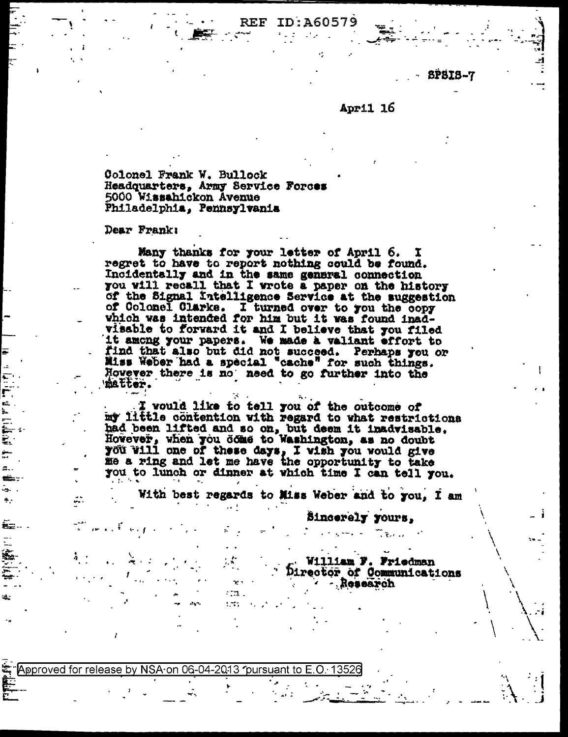ID:A60579 REF

**SPSIS-7** 

## April 16

Colonel Frank W. Bullock Headquarters, Army Service Forces 5000 Wissahickon Avenue Philadelphia, Pennsylvania

Dear Frank:

Many thanks for your letter of April 6. I regret to have to report nothing could be found. Incidentally and in the same general connection you will recall that I wrote a paper on the history of the Signal Intelligence Service at the suggestion of Colonel Clarke. I turned over to you the copy which was intended for him but it was found inadvisable to forward it and I believe that you filed it among your papers. We made a valiant effort to find that also but did not succeed. Perhaps you or Miss Weber had a special "cache" for such things. However there is no need to go further into the 'matter.

I would like to tell you of the outcome of my little contention with regard to what restrictions had been lifted and so on, but deem it inadvisable.<br>However, when you dome to Washington, as no doubt you will one of these days, I wish you would give<br>me a ring and let me have the opportunity to take you to lunch or dinner at which time I can tell you.

With best regards to Miss Weber and to you. I am

Sincerely yours.

William F. Friedman Director of Communications **Acsesrch** 

Approved for release by NSA on 06-04-2013 pursuant to E.O. 13526

 $1.1.1$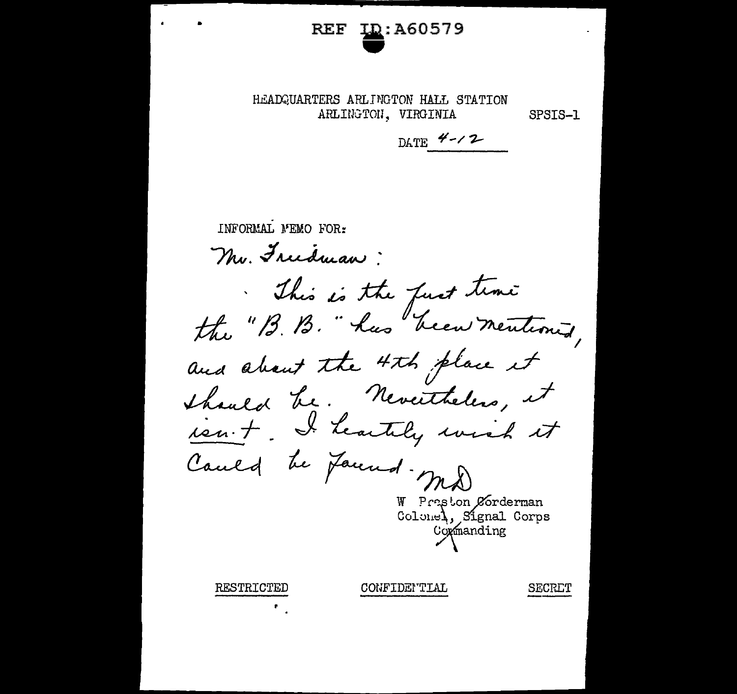## **LD:A60579** REF

HEADQUARTERS ARLINGTON HALL STATION ARLINGTON, VIRGINIA

SPSIS-1

DATE  $4 - 2$ 

**INFORMAL MEMO FOR:** Mr. Freedman: This is the fust time the "B. B. " has been mentioned, and about the 4th place it thanked be. Nevertheless, it ien. + I heartily wish it Cauld be pauld-md

> W Praston Corderman Colonel, Signal Corps Coxmanding

RESTRICTED

CONFIDEMTIAL

SECRET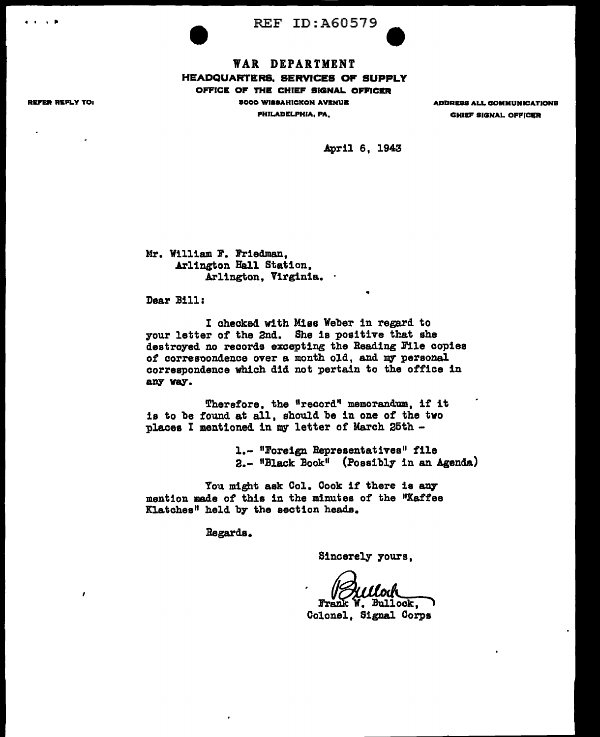REF ID: A60579

## WAR DEPARTMENT HEADQUARTER&, SERVICES OF SUPPLY OFFICE OF THE CHIEF SIGNAL OFFICER

9000 Wl88AHICKON AYKNUB PHILADELPHIA, PA,

ADDRESS ALL COMMUNICATIONS **CHIEF SIGNAL OFFICER** 

April 6, 1943

•

Mr. William F. Friedman, Arlington Hall Station, Arlington, Virginia.

Dear Bill:

I checked with Miss Weber in regard to your letter of the 2nd. She is positive that she destroyed no records excepting the Reading File copies of correspondence over a month old, and my personal correspondence which did not pertain to the office in any way.

Therefore, the "record" memorandum, if it is to be found at all, should be in one of the two places I mentioned in my letter of March 25th -

> 1.- "Foreign Representatives" file 2.- "Black Book" (Possibly in an Agenda)

You might ask Col. Cook if there is any mention made of this in the minutes of the "Kaffee Xlatches" held by the section heads.

Begards.

Sincerely yours,

W. Bullock,

Colonel, Signal Corps

REFER REPLY TO:

 $\lambda$ 

4 I I ~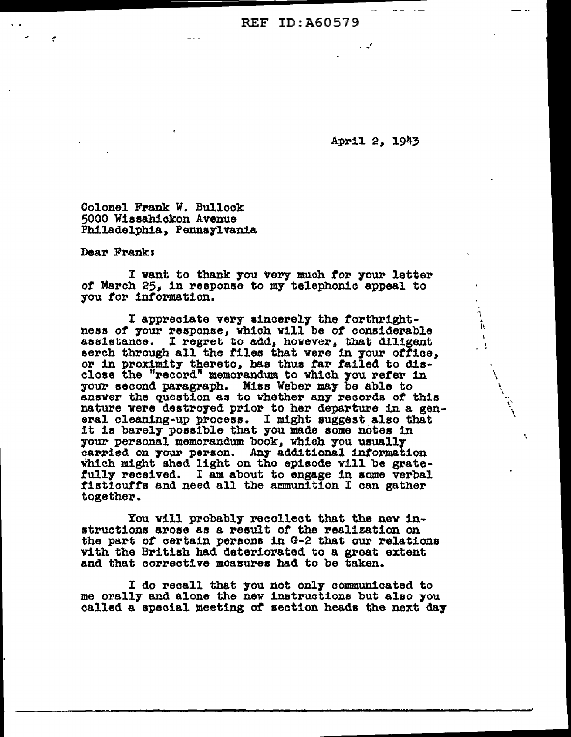**REF ID: A60579** 

April 2, 1943

 $\tilde{h}$ 

 $\bar{\mathbf{r}}$  $\mathcal{L}^{\mathcal{L}}$ 

N

Colonel Frank W. Bullock 5000 Wissahickon Avenue Philadelphia, Pennsylvania

Dear Frank:

I want to thank you very much for your letter of March 25, in response to my telephonic appeal to you for information.

I appreciate very sincerely the forthrightness of your response, which will be of considerable assistance. I regret to add, however, that diligent serch through all the files that were in your office, or in proximity thereto, has thus far failed to disclose the "record" memorandum to which you refer in your second paragraph. Miss Weber may be able to answer the question as to whether any records of this nature were destroyed prior to her departure in a general cleaning-up process. I might suggest also that it is barely possible that you made some notes in your personal memorandum book, which you usually carried on your person. Any additional information which might shed light on the episode will be gratefully received. I am about to engage in some verbal fisticuffs and need all the armunition I can gather together.

You will probably recollect that the new instructions arose as a result of the realization on the part of certain persons in G-2 that our relations with the British had deteriorated to a great extent and that corrective moasures had to be taken.

I do recall that you not only communicated to me orally and alone the new instructions but also you called a special meeting of section heads the next day